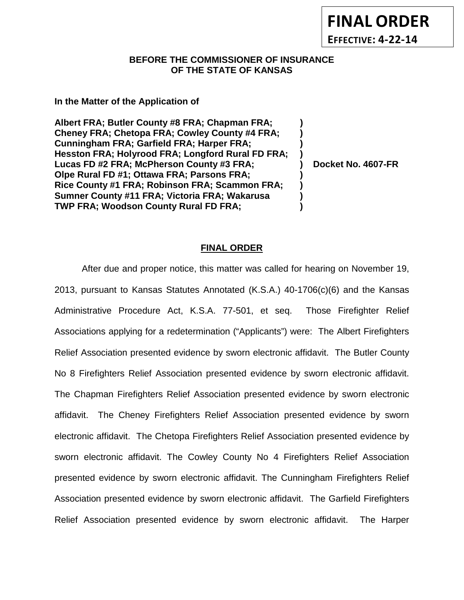# **BEFORE THE COMMISSIONER OF INSURANCE OF THE STATE OF KANSAS**

## **In the Matter of the Application of**

**Albert FRA; Butler County #8 FRA; Chapman FRA; ) Cheney FRA; Chetopa FRA; Cowley County #4 FRA; ) Cunningham FRA; Garfield FRA; Harper FRA; ) Hesston FRA; Holyrood FRA; Longford Rural FD FRA; ) Lucas FD #2 FRA; McPherson County #3 FRA; ) Docket No. 4607-FR Olpe Rural FD #1; Ottawa FRA; Parsons FRA; ) Rice County #1 FRA; Robinson FRA; Scammon FRA; ) Sumner County #11 FRA; Victoria FRA; Wakarusa ) TWP FRA; Woodson County Rural FD FRA; )**

# **FINAL ORDER**

After due and proper notice, this matter was called for hearing on November 19, 2013, pursuant to Kansas Statutes Annotated (K.S.A.) 40-1706(c)(6) and the Kansas Administrative Procedure Act, K.S.A. 77-501, et seq. Those Firefighter Relief Associations applying for a redetermination ("Applicants") were: The Albert Firefighters Relief Association presented evidence by sworn electronic affidavit. The Butler County No 8 Firefighters Relief Association presented evidence by sworn electronic affidavit. The Chapman Firefighters Relief Association presented evidence by sworn electronic affidavit. The Cheney Firefighters Relief Association presented evidence by sworn electronic affidavit. The Chetopa Firefighters Relief Association presented evidence by sworn electronic affidavit. The Cowley County No 4 Firefighters Relief Association presented evidence by sworn electronic affidavit. The Cunningham Firefighters Relief Association presented evidence by sworn electronic affidavit. The Garfield Firefighters Relief Association presented evidence by sworn electronic affidavit. The Harper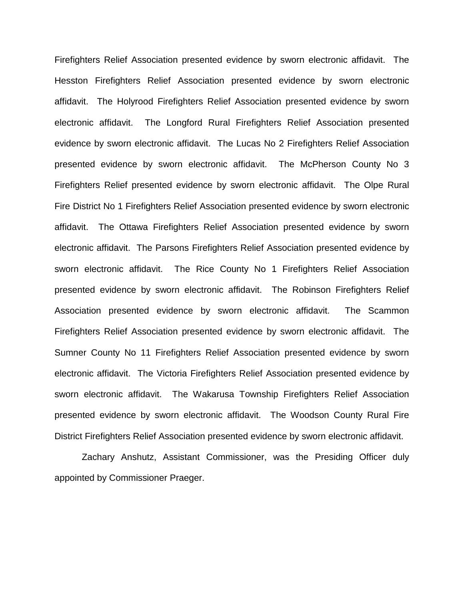Firefighters Relief Association presented evidence by sworn electronic affidavit. The Hesston Firefighters Relief Association presented evidence by sworn electronic affidavit. The Holyrood Firefighters Relief Association presented evidence by sworn electronic affidavit. The Longford Rural Firefighters Relief Association presented evidence by sworn electronic affidavit. The Lucas No 2 Firefighters Relief Association presented evidence by sworn electronic affidavit. The McPherson County No 3 Firefighters Relief presented evidence by sworn electronic affidavit. The Olpe Rural Fire District No 1 Firefighters Relief Association presented evidence by sworn electronic affidavit. The Ottawa Firefighters Relief Association presented evidence by sworn electronic affidavit. The Parsons Firefighters Relief Association presented evidence by sworn electronic affidavit. The Rice County No 1 Firefighters Relief Association presented evidence by sworn electronic affidavit. The Robinson Firefighters Relief Association presented evidence by sworn electronic affidavit. The Scammon Firefighters Relief Association presented evidence by sworn electronic affidavit. The Sumner County No 11 Firefighters Relief Association presented evidence by sworn electronic affidavit. The Victoria Firefighters Relief Association presented evidence by sworn electronic affidavit. The Wakarusa Township Firefighters Relief Association presented evidence by sworn electronic affidavit. The Woodson County Rural Fire District Firefighters Relief Association presented evidence by sworn electronic affidavit.

Zachary Anshutz, Assistant Commissioner, was the Presiding Officer duly appointed by Commissioner Praeger.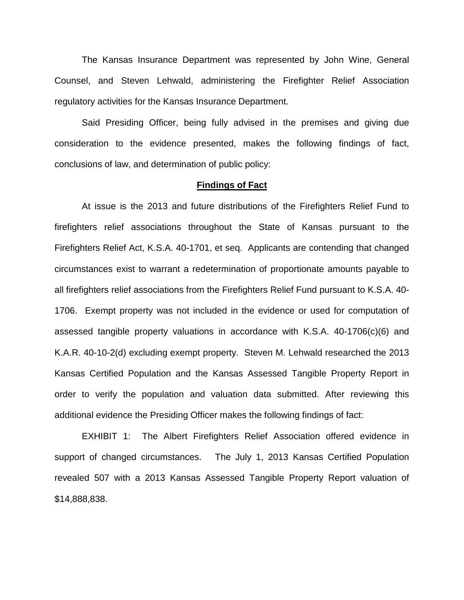The Kansas Insurance Department was represented by John Wine, General Counsel, and Steven Lehwald, administering the Firefighter Relief Association regulatory activities for the Kansas Insurance Department.

Said Presiding Officer, being fully advised in the premises and giving due consideration to the evidence presented, makes the following findings of fact, conclusions of law, and determination of public policy:

## **Findings of Fact**

At issue is the 2013 and future distributions of the Firefighters Relief Fund to firefighters relief associations throughout the State of Kansas pursuant to the Firefighters Relief Act, K.S.A. 40-1701, et seq. Applicants are contending that changed circumstances exist to warrant a redetermination of proportionate amounts payable to all firefighters relief associations from the Firefighters Relief Fund pursuant to K.S.A. 40- 1706. Exempt property was not included in the evidence or used for computation of assessed tangible property valuations in accordance with K.S.A. 40-1706(c)(6) and K.A.R. 40-10-2(d) excluding exempt property. Steven M. Lehwald researched the 2013 Kansas Certified Population and the Kansas Assessed Tangible Property Report in order to verify the population and valuation data submitted. After reviewing this additional evidence the Presiding Officer makes the following findings of fact:

EXHIBIT 1: The Albert Firefighters Relief Association offered evidence in support of changed circumstances. The July 1, 2013 Kansas Certified Population revealed 507 with a 2013 Kansas Assessed Tangible Property Report valuation of \$14,888,838.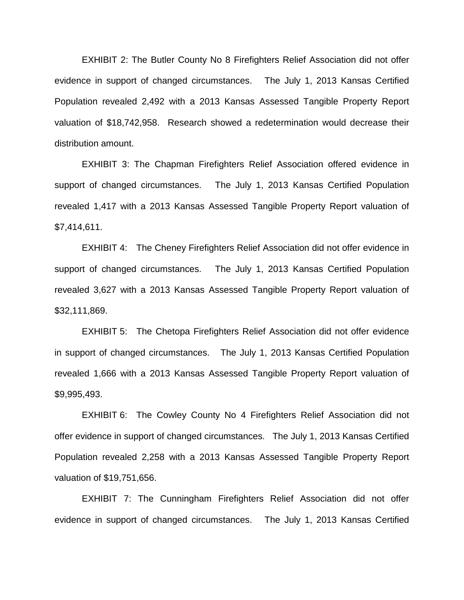EXHIBIT 2: The Butler County No 8 Firefighters Relief Association did not offer evidence in support of changed circumstances. The July 1, 2013 Kansas Certified Population revealed 2,492 with a 2013 Kansas Assessed Tangible Property Report valuation of \$18,742,958. Research showed a redetermination would decrease their distribution amount.

EXHIBIT 3: The Chapman Firefighters Relief Association offered evidence in support of changed circumstances. The July 1, 2013 Kansas Certified Population revealed 1,417 with a 2013 Kansas Assessed Tangible Property Report valuation of \$7,414,611.

EXHIBIT 4: The Cheney Firefighters Relief Association did not offer evidence in support of changed circumstances. The July 1, 2013 Kansas Certified Population revealed 3,627 with a 2013 Kansas Assessed Tangible Property Report valuation of \$32,111,869.

EXHIBIT 5: The Chetopa Firefighters Relief Association did not offer evidence in support of changed circumstances. The July 1, 2013 Kansas Certified Population revealed 1,666 with a 2013 Kansas Assessed Tangible Property Report valuation of \$9,995,493.

EXHIBIT 6: The Cowley County No 4 Firefighters Relief Association did not offer evidence in support of changed circumstances. The July 1, 2013 Kansas Certified Population revealed 2,258 with a 2013 Kansas Assessed Tangible Property Report valuation of \$19,751,656.

EXHIBIT 7: The Cunningham Firefighters Relief Association did not offer evidence in support of changed circumstances. The July 1, 2013 Kansas Certified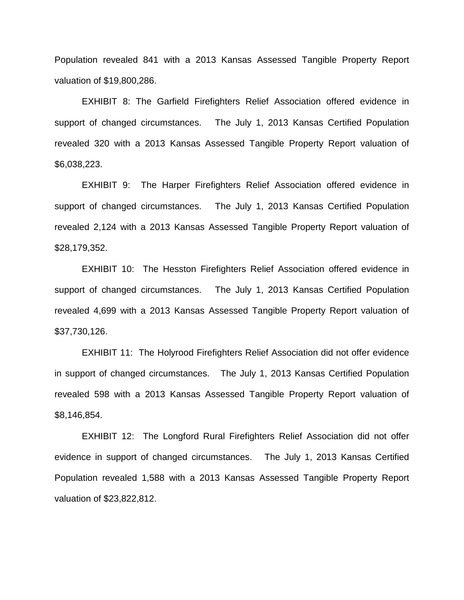Population revealed 841 with a 2013 Kansas Assessed Tangible Property Report valuation of \$19,800,286.

EXHIBIT 8: The Garfield Firefighters Relief Association offered evidence in support of changed circumstances. The July 1, 2013 Kansas Certified Population revealed 320 with a 2013 Kansas Assessed Tangible Property Report valuation of \$6,038,223.

EXHIBIT 9: The Harper Firefighters Relief Association offered evidence in support of changed circumstances. The July 1, 2013 Kansas Certified Population revealed 2,124 with a 2013 Kansas Assessed Tangible Property Report valuation of \$28,179,352.

EXHIBIT 10: The Hesston Firefighters Relief Association offered evidence in support of changed circumstances. The July 1, 2013 Kansas Certified Population revealed 4,699 with a 2013 Kansas Assessed Tangible Property Report valuation of \$37,730,126.

EXHIBIT 11: The Holyrood Firefighters Relief Association did not offer evidence in support of changed circumstances. The July 1, 2013 Kansas Certified Population revealed 598 with a 2013 Kansas Assessed Tangible Property Report valuation of \$8,146,854.

EXHIBIT 12: The Longford Rural Firefighters Relief Association did not offer evidence in support of changed circumstances. The July 1, 2013 Kansas Certified Population revealed 1,588 with a 2013 Kansas Assessed Tangible Property Report valuation of \$23,822,812.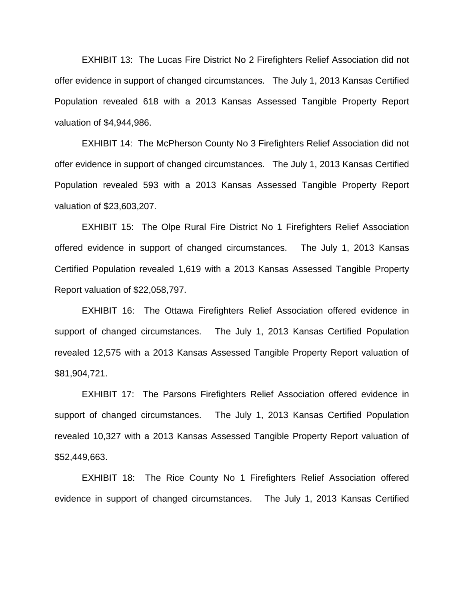EXHIBIT 13: The Lucas Fire District No 2 Firefighters Relief Association did not offer evidence in support of changed circumstances. The July 1, 2013 Kansas Certified Population revealed 618 with a 2013 Kansas Assessed Tangible Property Report valuation of \$4,944,986.

EXHIBIT 14: The McPherson County No 3 Firefighters Relief Association did not offer evidence in support of changed circumstances. The July 1, 2013 Kansas Certified Population revealed 593 with a 2013 Kansas Assessed Tangible Property Report valuation of \$23,603,207.

EXHIBIT 15: The Olpe Rural Fire District No 1 Firefighters Relief Association offered evidence in support of changed circumstances. The July 1, 2013 Kansas Certified Population revealed 1,619 with a 2013 Kansas Assessed Tangible Property Report valuation of \$22,058,797.

EXHIBIT 16: The Ottawa Firefighters Relief Association offered evidence in support of changed circumstances. The July 1, 2013 Kansas Certified Population revealed 12,575 with a 2013 Kansas Assessed Tangible Property Report valuation of \$81,904,721.

EXHIBIT 17: The Parsons Firefighters Relief Association offered evidence in support of changed circumstances. The July 1, 2013 Kansas Certified Population revealed 10,327 with a 2013 Kansas Assessed Tangible Property Report valuation of \$52,449,663.

EXHIBIT 18: The Rice County No 1 Firefighters Relief Association offered evidence in support of changed circumstances. The July 1, 2013 Kansas Certified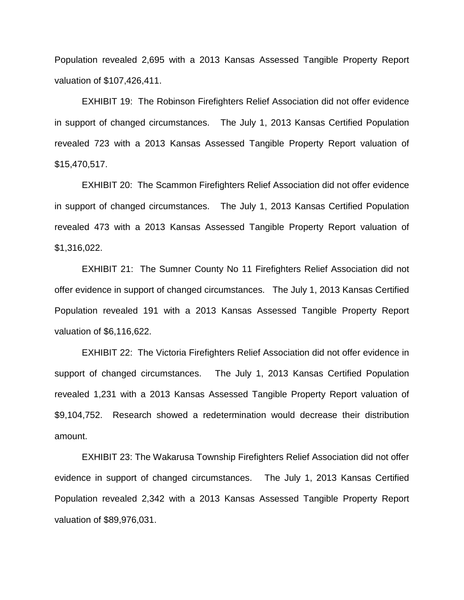Population revealed 2,695 with a 2013 Kansas Assessed Tangible Property Report valuation of \$107,426,411.

EXHIBIT 19: The Robinson Firefighters Relief Association did not offer evidence in support of changed circumstances. The July 1, 2013 Kansas Certified Population revealed 723 with a 2013 Kansas Assessed Tangible Property Report valuation of \$15,470,517.

EXHIBIT 20: The Scammon Firefighters Relief Association did not offer evidence in support of changed circumstances. The July 1, 2013 Kansas Certified Population revealed 473 with a 2013 Kansas Assessed Tangible Property Report valuation of \$1,316,022.

EXHIBIT 21: The Sumner County No 11 Firefighters Relief Association did not offer evidence in support of changed circumstances. The July 1, 2013 Kansas Certified Population revealed 191 with a 2013 Kansas Assessed Tangible Property Report valuation of \$6,116,622.

EXHIBIT 22: The Victoria Firefighters Relief Association did not offer evidence in support of changed circumstances. The July 1, 2013 Kansas Certified Population revealed 1,231 with a 2013 Kansas Assessed Tangible Property Report valuation of \$9,104,752. Research showed a redetermination would decrease their distribution amount.

EXHIBIT 23: The Wakarusa Township Firefighters Relief Association did not offer evidence in support of changed circumstances. The July 1, 2013 Kansas Certified Population revealed 2,342 with a 2013 Kansas Assessed Tangible Property Report valuation of \$89,976,031.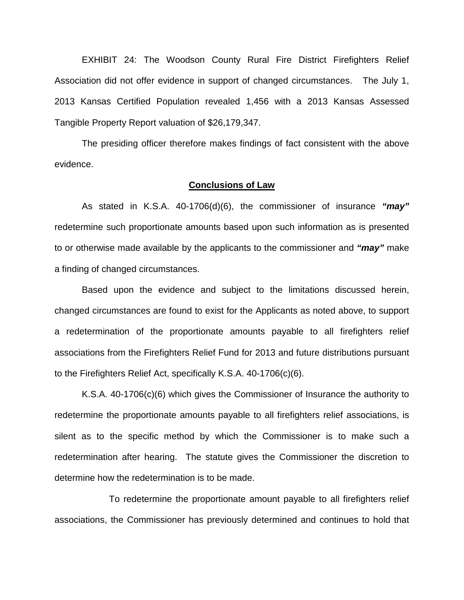EXHIBIT 24: The Woodson County Rural Fire District Firefighters Relief Association did not offer evidence in support of changed circumstances. The July 1, 2013 Kansas Certified Population revealed 1,456 with a 2013 Kansas Assessed Tangible Property Report valuation of \$26,179,347.

The presiding officer therefore makes findings of fact consistent with the above evidence.

#### **Conclusions of Law**

As stated in K.S.A. 40-1706(d)(6), the commissioner of insurance *"may"* redetermine such proportionate amounts based upon such information as is presented to or otherwise made available by the applicants to the commissioner and *"may"* make a finding of changed circumstances.

Based upon the evidence and subject to the limitations discussed herein, changed circumstances are found to exist for the Applicants as noted above, to support a redetermination of the proportionate amounts payable to all firefighters relief associations from the Firefighters Relief Fund for 2013 and future distributions pursuant to the Firefighters Relief Act, specifically K.S.A. 40-1706(c)(6).

K.S.A. 40-1706(c)(6) which gives the Commissioner of Insurance the authority to redetermine the proportionate amounts payable to all firefighters relief associations, is silent as to the specific method by which the Commissioner is to make such a redetermination after hearing. The statute gives the Commissioner the discretion to determine how the redetermination is to be made.

To redetermine the proportionate amount payable to all firefighters relief associations, the Commissioner has previously determined and continues to hold that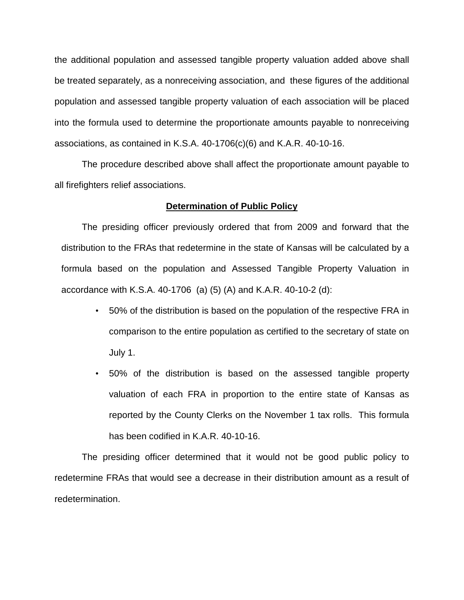the additional population and assessed tangible property valuation added above shall be treated separately, as a nonreceiving association, and these figures of the additional population and assessed tangible property valuation of each association will be placed into the formula used to determine the proportionate amounts payable to nonreceiving associations, as contained in K.S.A. 40-1706(c)(6) and K.A.R. 40-10-16.

The procedure described above shall affect the proportionate amount payable to all firefighters relief associations.

## **Determination of Public Policy**

The presiding officer previously ordered that from 2009 and forward that the distribution to the FRAs that redetermine in the state of Kansas will be calculated by a formula based on the population and Assessed Tangible Property Valuation in accordance with K.S.A. 40-1706 (a) (5) (A) and K.A.R. 40-10-2 (d):

- 50% of the distribution is based on the population of the respective FRA in comparison to the entire population as certified to the secretary of state on July 1.
- 50% of the distribution is based on the assessed tangible property valuation of each FRA in proportion to the entire state of Kansas as reported by the County Clerks on the November 1 tax rolls. This formula has been codified in K.A.R. 40-10-16.

The presiding officer determined that it would not be good public policy to redetermine FRAs that would see a decrease in their distribution amount as a result of redetermination.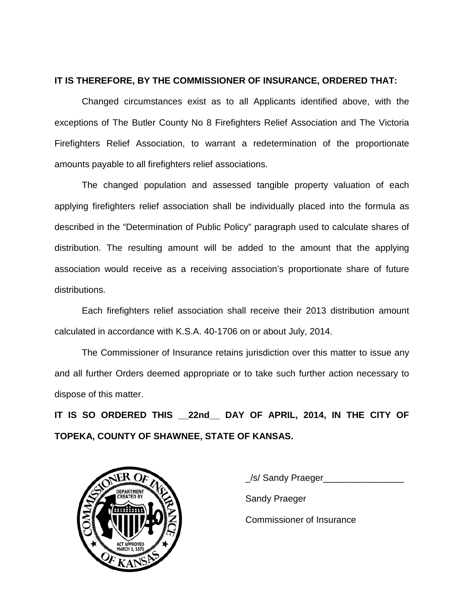# **IT IS THEREFORE, BY THE COMMISSIONER OF INSURANCE, ORDERED THAT:**

Changed circumstances exist as to all Applicants identified above, with the exceptions of The Butler County No 8 Firefighters Relief Association and The Victoria Firefighters Relief Association, to warrant a redetermination of the proportionate amounts payable to all firefighters relief associations.

The changed population and assessed tangible property valuation of each applying firefighters relief association shall be individually placed into the formula as described in the "Determination of Public Policy" paragraph used to calculate shares of distribution. The resulting amount will be added to the amount that the applying association would receive as a receiving association's proportionate share of future distributions.

Each firefighters relief association shall receive their 2013 distribution amount calculated in accordance with K.S.A. 40-1706 on or about July, 2014.

The Commissioner of Insurance retains jurisdiction over this matter to issue any and all further Orders deemed appropriate or to take such further action necessary to dispose of this matter.

**IT IS SO ORDERED THIS \_\_22nd\_\_ DAY OF APRIL, 2014, IN THE CITY OF TOPEKA, COUNTY OF SHAWNEE, STATE OF KANSAS.**



\_/s/ Sandy Praeger\_\_\_\_\_\_\_\_\_\_\_\_\_\_\_\_ Sandy Praeger Commissioner of Insurance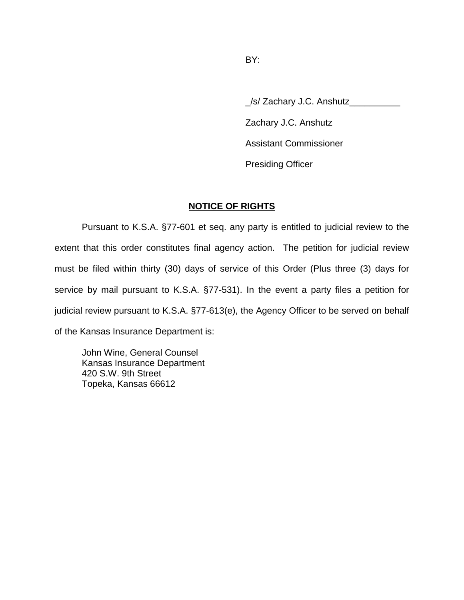\_/s/ Zachary J.C. Anshutz\_\_\_\_\_\_\_\_\_\_ Zachary J.C. Anshutz Assistant Commissioner Presiding Officer

# **NOTICE OF RIGHTS**

Pursuant to K.S.A. §77-601 et seq. any party is entitled to judicial review to the extent that this order constitutes final agency action. The petition for judicial review must be filed within thirty (30) days of service of this Order (Plus three (3) days for service by mail pursuant to K.S.A. §77-531). In the event a party files a petition for judicial review pursuant to K.S.A. §77-613(e), the Agency Officer to be served on behalf of the Kansas Insurance Department is:

John Wine, General Counsel Kansas Insurance Department 420 S.W. 9th Street Topeka, Kansas 66612

BY: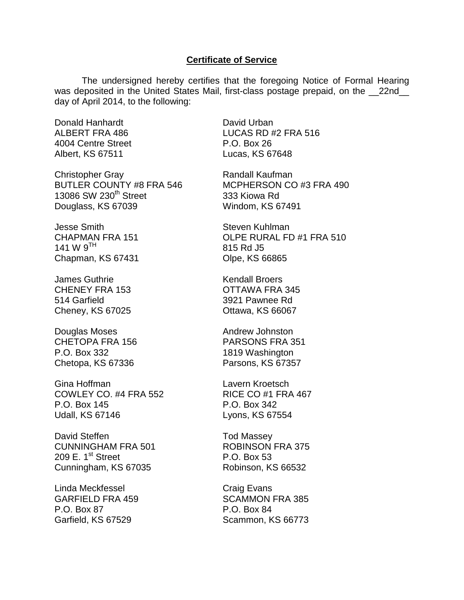## **Certificate of Service**

The undersigned hereby certifies that the foregoing Notice of Formal Hearing was deposited in the United States Mail, first-class postage prepaid, on the \_\_22nd\_\_ day of April 2014, to the following:

Donald Hanhardt ALBERT FRA 486 4004 Centre Street Albert, KS 67511

Christopher Gray BUTLER COUNTY #8 FRA 546 13086 SW 230<sup>th</sup> Street Douglass, KS 67039

Jesse Smith CHAPMAN FRA 151 141 W  $9^{TH}$ Chapman, KS 67431

James Guthrie CHENEY FRA 153 514 Garfield Cheney, KS 67025

Douglas Moses CHETOPA FRA 156 P.O. Box 332 Chetopa, KS 67336

Gina Hoffman COWLEY CO. #4 FRA 552 P.O. Box 145 Udall, KS 67146

David Steffen CUNNINGHAM FRA 501 209 E.  $1<sup>st</sup>$  Street Cunningham, KS 67035

Linda Meckfessel GARFIELD FRA 459 P.O. Box 87 Garfield, KS 67529

David Urban LUCAS RD #2 FRA 516 P.O. Box 26 Lucas, KS 67648

Randall Kaufman MCPHERSON CO #3 FRA 490 333 Kiowa Rd Windom, KS 67491

Steven Kuhlman OLPE RURAL FD #1 FRA 510 815 Rd J5 Olpe, KS 66865

Kendall Broers OTTAWA FRA 345 3921 Pawnee Rd Ottawa, KS 66067

Andrew Johnston PARSONS FRA 351 1819 Washington Parsons, KS 67357

Lavern Kroetsch RICE CO #1 FRA 467 P.O. Box 342 Lyons, KS 67554

Tod Massey ROBINSON FRA 375 P.O. Box 53 Robinson, KS 66532

Craig Evans SCAMMON FRA 385 P.O. Box 84 Scammon, KS 66773